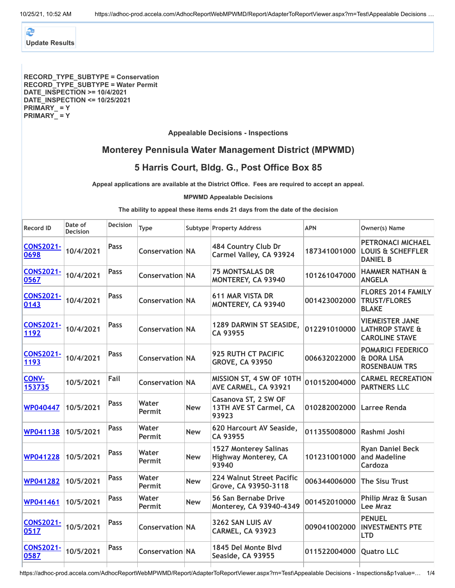æ **[Update Results](javascript:HORR_UpdateContent()**

**RECORD\_TYPE\_SUBTYPE = Conservation RECORD\_TYPE\_SUBTYPE = Water Permit DATE\_INSPECTION >= 10/4/2021 DATE\_INSPECTION <= 10/25/2021 PRIMARY\_ = Y PRIMARY\_ = Y**

**Appealable Decisions - Inspections**

## **Monterey Pennisula Water Management District (MPWMD)**

## **5 Harris Court, Bldg. G., Post Office Box 85**

**Appeal applications are available at the District Office. Fees are required to accept an appeal.**

**MPWMD Appealable Decisions**

**The ability to appeal these items ends 21 days from the date of the decision**

| <b>Record ID</b>                | Date of<br><b>Decision</b> | Decision    | Type                   |            | Subtype Property Address                                             | <b>APN</b>   | Owner(s) Name                                                                 |
|---------------------------------|----------------------------|-------------|------------------------|------------|----------------------------------------------------------------------|--------------|-------------------------------------------------------------------------------|
| <b>CONS2021-</b><br>0698        | 10/4/2021                  | <b>Pass</b> | <b>Conservation NA</b> |            | 484 Country Club Dr<br>Carmel Valley, CA 93924                       | 187341001000 | PETRONACI MICHAEL<br><b>LOUIS &amp; SCHEFFLER</b><br><b>DANIEL B</b>          |
| <b>CONS2021-</b><br>0567        | 10/4/2021                  | Pass        | <b>Conservation NA</b> |            | <b>75 MONTSALAS DR</b><br>MONTEREY, CA 93940                         | 101261047000 | <b>HAMMER NATHAN &amp;</b><br><b>ANGELA</b>                                   |
| <b>CONS2021-</b><br>0143        | 10/4/2021                  | <b>Pass</b> | <b>Conservation NA</b> |            | <b>611 MAR VISTA DR</b><br>MONTEREY, CA 93940                        | 001423002000 | <b>FLORES 2014 FAMILY</b><br><b>TRUST/FLORES</b><br><b>BLAKE</b>              |
| <b>CONS2021-</b><br>1192        | 10/4/2021                  | <b>Pass</b> | <b>Conservation NA</b> |            | 1289 DARWIN ST SEASIDE,<br>CA 93955                                  | 012291010000 | <b>VIEMEISTER JANE</b><br><b>LATHROP STAVE &amp;</b><br><b>CAROLINE STAVE</b> |
| <b>CONS2021-</b><br><u>1193</u> | 10/4/2021                  | Pass        | <b>Conservation NA</b> |            | 925 RUTH CT PACIFIC<br><b>GROVE, CA 93950</b>                        | 006632022000 | <b>POMARICI FEDERICO</b><br>& DORA LISA<br><b>ROSENBAUM TRS</b>               |
| CONV-<br>153735                 | 10/5/2021                  | Fail        | <b>Conservation NA</b> |            | MISSION ST, 4 SW OF 10TH<br>AVE CARMEL, CA 93921                     | 010152004000 | <b>CARMEL RECREATION</b><br><b>PARTNERS LLC</b>                               |
| <b>WP040447</b>                 | 10/5/2021                  | <b>Pass</b> | Water<br>Permit        | <b>New</b> | Casanova ST, 2 SW OF<br>13TH AVE ST Carmel, CA<br>93923              | 010282002000 | Larree Renda                                                                  |
| WP041138                        | 10/5/2021                  | Pass        | Water<br>Permit        | New        | 620 Harcourt AV Seaside,<br>CA 93955                                 | 011355008000 | Rashmi Joshi                                                                  |
| WP041228                        | 10/5/2021                  | <b>Pass</b> | Water<br>Permit        | <b>New</b> | <b>1527 Monterey Salinas</b><br><b>Highway Monterey, CA</b><br>93940 | 101231001000 | <b>Ryan Daniel Beck</b><br>and Madeline<br>Cardoza                            |
| <b>WP041282</b>                 | 10/5/2021                  | Pass        | Water<br>Permit        | <b>New</b> | 224 Walnut Street Pacific<br>Grove, CA 93950-3118                    | 006344006000 | <b>The Sisu Trust</b>                                                         |
| <b>WP041461</b>                 | 10/5/2021                  | <b>Pass</b> | Water<br>Permit        | <b>New</b> | 56 San Bernabe Drive<br>Monterey, CA 93940-4349                      | 001452010000 | Philip Mraz & Susan<br>Lee Mraz                                               |
| <b>CONS2021-</b><br>0517        | 10/5/2021                  | <b>Pass</b> | <b>Conservation NA</b> |            | 3262 SAN LUIS AV<br>CARMEL, CA 93923                                 | 009041002000 | <b>PENUEL</b><br><b>INVESTMENTS PTE</b><br><b>LTD</b>                         |
| <b>CONS2021-</b><br>0587        | 10/5/2021                  | <b>Pass</b> | <b>Conservation NA</b> |            | 1845 Del Monte Blvd<br>Seaside, CA 93955                             | 011522004000 | <b>Quatro LLC</b>                                                             |
|                                 |                            |             |                        |            |                                                                      |              |                                                                               |

https://adhoc-prod.accela.com/AdhocReportWebMPWMD/Report/AdapterToReportViewer.aspx?rn=Test\Appealable Decisions - Inspections&p1value=… 1/4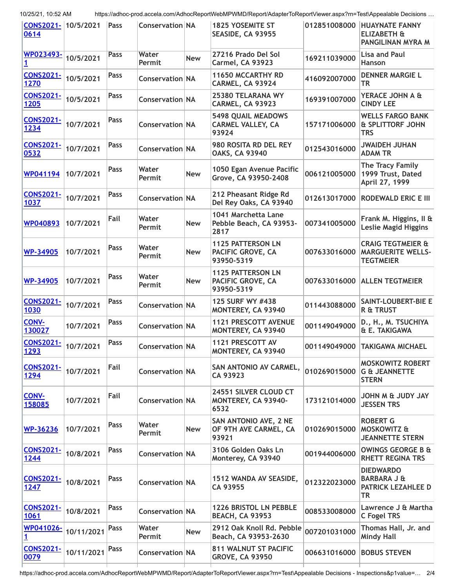10/25/21, 10:52 AM https://adhoc-prod.accela.com/AdhocReportWebMPWMD/Report/AdapterToReportViewer.aspx?rn=Test\Appealable Decisions …

| CONS2021- 10/5/2021<br>0614     |            | Pass        | <b>Conservation NA</b> |            | <b>1825 YOSEMITE ST</b><br>SEASIDE, CA 93955                   |              | 012851008000 HUAYNATE FANNY<br><b>ELIZABETH &amp;</b><br>PANGILINAN MYRA M   |
|---------------------------------|------------|-------------|------------------------|------------|----------------------------------------------------------------|--------------|------------------------------------------------------------------------------|
| WP023493-<br>1                  | 10/5/2021  | <b>Pass</b> | Water<br>Permit        | <b>New</b> | 27216 Prado Del Sol<br>Carmel, CA 93923                        | 169211039000 | Lisa and Paul<br><b>Hanson</b>                                               |
| <b>CONS2021-</b><br>1270        | 10/5/2021  | Pass        | <b>Conservation NA</b> |            | <b>11650 MCCARTHY RD</b><br>CARMEL, CA 93924                   | 416092007000 | <b>DENNER MARGIE L</b><br>TR                                                 |
| <b>CONS2021-</b><br>1205        | 10/5/2021  | <b>Pass</b> | <b>Conservation NA</b> |            | 25380 TELARANA WY<br><b>CARMEL, CA 93923</b>                   | 169391007000 | YERACE JOHN A &<br><b>CINDY LEE</b>                                          |
| <b>CONS2021-</b><br>1234        | 10/7/2021  | <b>Pass</b> | <b>Conservation NA</b> |            | <b>5498 QUAIL MEADOWS</b><br><b>CARMEL VALLEY, CA</b><br>93924 | 157171006000 | <b>WELLS FARGO BANK</b><br>& SPLITTORF JOHN<br><b>TRS</b>                    |
| <b>CONS2021-</b><br>0532        | 10/7/2021  | <b>Pass</b> | <b>Conservation NA</b> |            | 980 ROSITA RD DEL REY<br>OAKS, CA 93940                        | 012543016000 | <b>JWAIDEH JUHAN</b><br><b>ADAM TR</b>                                       |
| <b>WP041194</b>                 | 10/7/2021  | <b>Pass</b> | Water<br>Permit        | <b>New</b> | 1050 Egan Avenue Pacific<br>Grove, CA 93950-2408               | 006121005000 | The Tracy Family<br>1999 Trust, Dated<br>April 27, 1999                      |
| <b>CONS2021-</b><br>1037        | 10/7/2021  | <b>Pass</b> | <b>Conservation NA</b> |            | 212 Pheasant Ridge Rd<br>Del Rey Oaks, CA 93940                | 012613017000 | <b>RODEWALD ERIC E III</b>                                                   |
| WP040893                        | 10/7/2021  | Fail        | Water<br>Permit        | <b>New</b> | 1041 Marchetta Lane<br>Pebble Beach, CA 93953-<br>2817         | 007341005000 | Frank M. Higgins, II &<br>Leslie Magid Higgins                               |
| <b>WP-34905</b>                 | 10/7/2021  | <b>Pass</b> | Water<br>Permit        | New        | 1125 PATTERSON LN<br>PACIFIC GROVE, CA<br>93950-5319           | 007633016000 | <b>CRAIG TEGTMEIER &amp;</b><br><b>MARGUERITE WELLS-</b><br><b>TEGTMEIER</b> |
| <b>WP-34905</b>                 | 10/7/2021  | <b>Pass</b> | Water<br>Permit        | <b>New</b> | 1125 PATTERSON LN<br>PACIFIC GROVE, CA<br>93950-5319           | 007633016000 | <b>ALLEN TEGTMEIER</b>                                                       |
| <b>CONS2021-</b><br>1030        | 10/7/2021  | <b>Pass</b> | <b>Conservation NA</b> |            | 125 SURF WY #438<br>MONTEREY, CA 93940                         | 011443088000 | <b>SAINT-LOUBERT-BIE E</b><br><b>R &amp; TRUST</b>                           |
| CONV-<br>130027                 | 10/7/2021  | Pass        | <b>Conservation NA</b> |            | <b>1121 PRESCOTT AVENUE</b><br>MONTEREY, CA 93940              | 001149049000 | D., H., M. TSUCHIYA<br>& E. TAKIGAWA                                         |
| <b>CONS2021-</b><br><u>1293</u> | 10/7/2021  | Pass        | <b>Conservation NA</b> |            | 1121 PRESCOTT AV<br>MONTEREY, CA 93940                         | 001149049000 | <b>TAKIGAWA MICHAEL</b>                                                      |
| <b>CONS2021-</b><br>1294        | 10/7/2021  | Fail        | <b>Conservation NA</b> |            | SAN ANTONIO AV CARMEL,<br>CA 93923                             | 010269015000 | <b>MOSKOWITZ ROBERT</b><br><b>G &amp; JEANNETTE</b><br><b>STERN</b>          |
| CONV-<br>158085                 | 10/7/2021  | Fail        | <b>Conservation NA</b> |            | 24551 SILVER CLOUD CT<br>MONTEREY, CA 93940-<br>6532           | 173121014000 | YAL YOUL & M HIOL<br><b>JESSEN TRS</b>                                       |
| <b>WP-36236</b>                 | 10/7/2021  | <b>Pass</b> | Water<br>Permit        | <b>New</b> | SAN ANTONIO AVE, 2 NE<br>OF 9TH AVE CARMEL, CA<br>93921        | 010269015000 | <b>ROBERT G</b><br><b>MOSKOWITZ &amp;</b><br><b>JEANNETTE STERN</b>          |
| <b>CONS2021-</b><br>1244        | 10/8/2021  | <b>Pass</b> | <b>Conservation NA</b> |            | 3106 Golden Oaks Ln<br>Monterey, CA 93940                      | 001944006000 | <b>OWINGS GEORGE B &amp;</b><br><b>RHETT REGINA TRS</b>                      |
| <b>CONS2021-</b><br>1247        | 10/8/2021  | <b>Pass</b> | <b>Conservation NA</b> |            | 1512 WANDA AV SEASIDE,<br>CA 93955                             | 012322023000 | <b>DIEDWARDO</b><br><b>BARBARA J &amp;</b><br>PATRICK LEZAHLEE D<br>TR       |
| <b>CONS2021-</b><br>1061        | 10/8/2021  | Pass        | Conservation NA        |            | <b>1226 BRISTOL LN PEBBLE</b><br><b>BEACH, CA 93953</b>        | 008533008000 | Lawrence J & Martha<br><b>C</b> Fogel TRS                                    |
| WP041026-<br>$\mathbf{1}$       | 10/11/2021 | <b>Pass</b> | Water<br>Permit        | <b>New</b> | 2912 Oak Knoll Rd. Pebble<br>Beach, CA 93953-2630              | 007201031000 | Thomas Hall, Jr. and<br><b>Mindy Hall</b>                                    |
| <b>CONS2021-</b><br>0079        | 10/11/2021 | <b>Pass</b> | <b>Conservation NA</b> |            | <b>811 WALNUT ST PACIFIC</b><br><b>GROVE, CA 93950</b>         | 006631016000 | <b>BOBUS STEVEN</b>                                                          |
|                                 |            |             |                        |            |                                                                |              |                                                                              |

https://adhoc-prod.accela.com/AdhocReportWebMPWMD/Report/AdapterToReportViewer.aspx?rn=Test\Appealable Decisions - Inspections&p1value=… 2/4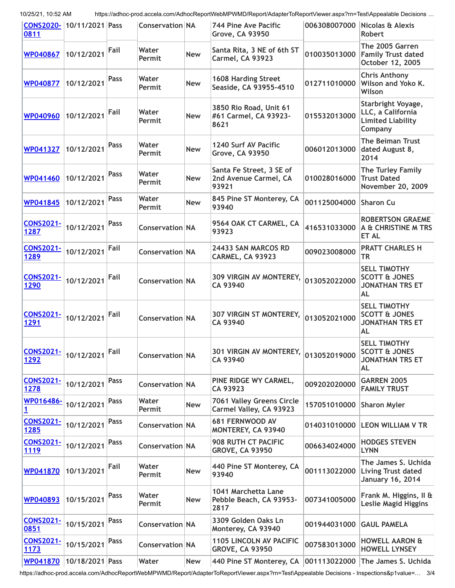10/25/21, 10:52 AM https://adhoc-prod.accela.com/AdhocReportWebMPWMD/Report/AdapterToReportViewer.aspx?rn=Test\Appealable Decisions …

| 0811                             | CONS2020- 10/11/2021 Pass |             | <b>Conservation NA</b> |            | 744 Pine Ave Pacific<br><b>Grove, CA 93950</b>             |              | 006308007000 Nicolas & Alexis<br><b>Robert</b>                                         |
|----------------------------------|---------------------------|-------------|------------------------|------------|------------------------------------------------------------|--------------|----------------------------------------------------------------------------------------|
| <b>WP040867</b>                  | 10/12/2021                | Fail        | Water<br>Permit        | <b>New</b> | Santa Rita, 3 NE of 6th ST<br><b>Carmel, CA 93923</b>      | 010035013000 | The 2005 Garren<br><b>Family Trust dated</b><br>October 12, 2005                       |
| WP040877                         | 10/12/2021                | <b>Pass</b> | Water<br>Permit        | <b>New</b> | <b>1608 Harding Street</b><br>Seaside, CA 93955-4510       | 012711010000 | <b>Chris Anthony</b><br>Wilson and Yoko K.<br>Wilson                                   |
| <b>WP040960</b>                  | 10/12/2021                | Fail        | Water<br>Permit        | <b>New</b> | 3850 Rio Road, Unit 61<br>#61 Carmel, CA 93923-<br>8621    | 015532013000 | Starbright Voyage,<br>LLC, a California<br><b>Limited Liability</b><br>Company         |
| <b>WP041327</b>                  | 10/12/2021                | Pass        | Water<br>Permit        | <b>New</b> | 1240 Surf AV Pacific<br><b>Grove, CA 93950</b>             | 006012013000 | <b>The Beiman Trust</b><br>dated August 8,<br>2014                                     |
| <b>WP041460</b>                  | 10/12/2021                | Pass        | Water<br>Permit        | <b>New</b> | Santa Fe Street, 3 SE of<br>2nd Avenue Carmel, CA<br>93921 | 010028016000 | <b>The Turley Family</b><br><b>Trust Dated</b><br>November 20, 2009                    |
| <b>WP041845</b>                  | 10/12/2021                | Pass        | Water<br>Permit        | <b>New</b> | 845 Pine ST Monterey, CA<br>93940                          | 001125004000 | <b>Sharon Cu</b>                                                                       |
| <b>CONS2021-</b><br>1287         | 10/12/2021                | Pass        | <b>Conservation NA</b> |            | 9564 OAK CT CARMEL, CA<br>93923                            | 416531033000 | <b>ROBERTSON GRAEME</b><br>A & CHRISTINE M TRS<br>ET AL                                |
| <b>CONS2021-</b><br>1289         | 10/12/2021                | Fail        | <b>Conservation NA</b> |            | 24433 SAN MARCOS RD<br>CARMEL, CA 93923                    | 009023008000 | <b>PRATT CHARLES H</b><br><b>TR</b>                                                    |
| <b>CONS2021-</b><br>1290         | 10/12/2021                | Fail        | <b>Conservation NA</b> |            | 309 VIRGIN AV MONTEREY,<br>CA 93940                        | 013052022000 | <b>SELL TIMOTHY</b><br><b>SCOTT &amp; JONES</b><br>JONATHAN TRS ET<br><b>AL</b>        |
| <b>CONS2021-</b><br>1291         | 10/12/2021                | Fail        | <b>Conservation NA</b> |            | 307 VIRGIN ST MONTEREY,<br>CA 93940                        | 013052021000 | <b>SELL TIMOTHY</b><br><b>SCOTT &amp; JONES</b><br><b>JONATHAN TRS ET</b><br><b>AL</b> |
| <b>CONS2021-</b><br><u> 1292</u> | 10/12/2021                | Fail        | <b>Conservation NA</b> |            | 301 VIRGIN AV MONTEREY,<br>CA 93940                        | 013052019000 | <b>SELL TIMOTHY</b><br><b>SCOTT &amp; JONES</b><br><b>JONATHAN TRS ET</b><br><b>AL</b> |
| <b>CONS2021-</b><br>1278         | 10/12/2021                | <b>Pass</b> | <b>Conservation NA</b> |            | PINE RIDGE WY CARMEL,<br>CA 93923                          | 009202020000 | <b>GARREN 2005</b><br><b>FAMILY TRUST</b>                                              |
| WP016486-<br><u>1</u>            | 10/12/2021                | <b>Pass</b> | Water<br>Permit        | <b>New</b> | 7061 Valley Greens Circle<br>Carmel Valley, CA 93923       | 157051010000 | Sharon Myler                                                                           |
| <b>CONS2021-</b><br>1285         | 10/12/2021                | Pass        | <b>Conservation NA</b> |            | <b>681 FERNWOOD AV</b><br>MONTEREY, CA 93940               | 014031010000 | <b>LEON WILLIAM V TR</b>                                                               |
| <b>CONS2021-</b><br>1119         | 10/12/2021                | Pass        | <b>Conservation NA</b> |            | 908 RUTH CT PACIFIC<br><b>GROVE, CA 93950</b>              | 006634024000 | <b>HODGES STEVEN</b><br><b>LYNN</b>                                                    |
| <b>WP041870</b>                  | 10/13/2021                | Fail        | Water<br>Permit        | <b>New</b> | 440 Pine ST Monterey, CA<br>93940                          | 001113022000 | The James S. Uchida<br><b>Living Trust dated</b><br><b>January 16, 2014</b>            |
| WP040893                         | 10/15/2021                | Pass        | Water<br>Permit        | <b>New</b> | 1041 Marchetta Lane<br>Pebble Beach, CA 93953-<br>2817     | 007341005000 | Frank M. Higgins, II &<br><b>Leslie Magid Higgins</b>                                  |
| <b>CONS2021-</b><br>0851         | 10/15/2021                | Pass        | <b>Conservation NA</b> |            | 3309 Golden Oaks Ln<br>Monterey, CA 93940                  | 001944031000 | <b>GAUL PAMELA</b>                                                                     |
| <b>CONS2021-</b><br>1173         | 10/15/2021                | <b>Pass</b> | <b>Conservation NA</b> |            | 1105 LINCOLN AV PACIFIC<br><b>GROVE, CA 93950</b>          | 007583013000 | <b>HOWELL AARON &amp;</b><br><b>HOWELL LYNSEY</b>                                      |
|                                  | WP041870 10/18/2021 Pass  |             | Water                  | <b>New</b> | 440 Pine ST Monterey, CA 001113022000 The James S. Uchida  |              |                                                                                        |

https://adhoc-prod.accela.com/AdhocReportWebMPWMD/Report/AdapterToReportViewer.aspx?rn=Test\Appealable Decisions - Inspections&p1value=… 3/4